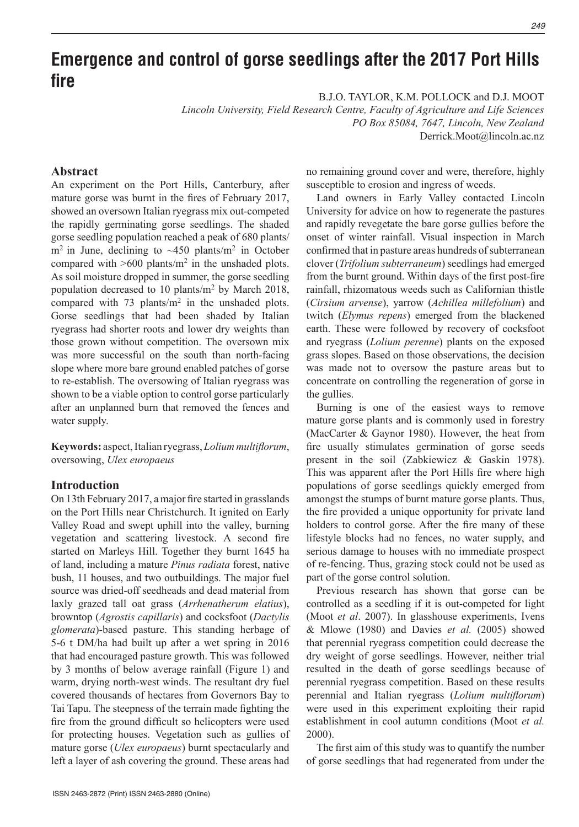#### $249$

# **Emergence and control of gorse seedlings after the 2017 Port Hills fire**

B.J.O. TAYLOR, K.M. POLLOCK and D.J. MOOT

*Lincoln University, Field Research Centre, Faculty of Agriculture and Life Sciences PO Box 85084, 7647, Lincoln, New Zealand*

Derrick.Moot@lincoln.ac.nz

# **Abstract**

An experiment on the Port Hills, Canterbury, after mature gorse was burnt in the fires of February 2017, showed an oversown Italian ryegrass mix out-competed the rapidly germinating gorse seedlings. The shaded gorse seedling population reached a peak of 680 plants/  $m<sup>2</sup>$  in June, declining to  $\sim$ 450 plants/m<sup>2</sup> in October compared with  $>600$  plants/m<sup>2</sup> in the unshaded plots. As soil moisture dropped in summer, the gorse seedling population decreased to 10 plants/m2 by March 2018, compared with 73 plants/m2 in the unshaded plots. Gorse seedlings that had been shaded by Italian ryegrass had shorter roots and lower dry weights than those grown without competition. The oversown mix was more successful on the south than north-facing slope where more bare ground enabled patches of gorse to re-establish. The oversowing of Italian ryegrass was shown to be a viable option to control gorse particularly after an unplanned burn that removed the fences and water supply.

**Keywords:** aspect, Italian ryegrass, *Lolium multiflorum*, oversowing, *Ulex europaeus*

## **Introduction**

On 13th February 2017, a major fire started in grasslands on the Port Hills near Christchurch. It ignited on Early Valley Road and swept uphill into the valley, burning vegetation and scattering livestock. A second fire started on Marleys Hill. Together they burnt 1645 ha of land, including a mature *Pinus radiata* forest, native bush, 11 houses, and two outbuildings. The major fuel source was dried-off seedheads and dead material from laxly grazed tall oat grass (*Arrhenatherum elatius*), browntop (*Agrostis capillaris*) and cocksfoot (*Dactylis glomerata*)-based pasture. This standing herbage of 5-6 t DM/ha had built up after a wet spring in 2016 that had encouraged pasture growth. This was followed by 3 months of below average rainfall (Figure 1) and warm, drying north-west winds. The resultant dry fuel covered thousands of hectares from Governors Bay to Tai Tapu. The steepness of the terrain made fighting the fire from the ground difficult so helicopters were used for protecting houses. Vegetation such as gullies of mature gorse (*Ulex europaeus*) burnt spectacularly and left a layer of ash covering the ground. These areas had no remaining ground cover and were, therefore, highly susceptible to erosion and ingress of weeds.

Land owners in Early Valley contacted Lincoln University for advice on how to regenerate the pastures and rapidly revegetate the bare gorse gullies before the onset of winter rainfall. Visual inspection in March confirmed that in pasture areas hundreds of subterranean clover (*Trifolium subterraneum*) seedlings had emerged from the burnt ground. Within days of the first post-fire rainfall, rhizomatous weeds such as Californian thistle (*Cirsium arvense*), yarrow (*Achillea millefolium*) and twitch (*Elymus repens*) emerged from the blackened earth. These were followed by recovery of cocksfoot and ryegrass (*Lolium perenne*) plants on the exposed grass slopes. Based on those observations, the decision was made not to oversow the pasture areas but to concentrate on controlling the regeneration of gorse in the gullies.

Burning is one of the easiest ways to remove mature gorse plants and is commonly used in forestry (MacCarter & Gaynor 1980). However, the heat from fire usually stimulates germination of gorse seeds present in the soil (Zabkiewicz & Gaskin 1978). This was apparent after the Port Hills fire where high populations of gorse seedlings quickly emerged from amongst the stumps of burnt mature gorse plants. Thus, the fire provided a unique opportunity for private land holders to control gorse. After the fire many of these lifestyle blocks had no fences, no water supply, and serious damage to houses with no immediate prospect of re-fencing. Thus, grazing stock could not be used as part of the gorse control solution.

Previous research has shown that gorse can be controlled as a seedling if it is out-competed for light (Moot *et al*. 2007). In glasshouse experiments, Ivens & Mlowe (1980) and Davies *et al.* (2005) showed that perennial ryegrass competition could decrease the dry weight of gorse seedlings. However, neither trial resulted in the death of gorse seedlings because of perennial ryegrass competition. Based on these results perennial and Italian ryegrass (*Lolium multiflorum*) were used in this experiment exploiting their rapid establishment in cool autumn conditions (Moot *et al.* 2000).

The first aim of this study was to quantify the number of gorse seedlings that had regenerated from under the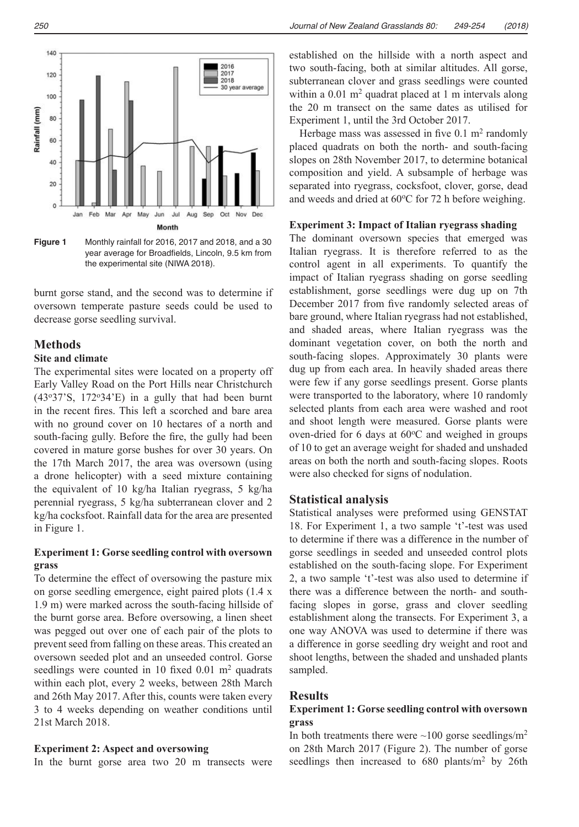

**Figure 1** Monthly rainfall for 2016, 2017 and 2018, and a 30  $\frac{1}{10}$ the experimental site (NIWA 2018). year average for Broadfields, Lincoln, 9.5 km from

burnt gorse stand, and the second was to determine if  $\qquad$ oversown temperate pasture seeds could be used to decrease gorse seedling survival.

# **Methods**

# **Site and climate** SOU

The experimental sites were located on a property off Early Valley Road on the Port Hills near Christchurch  $(43°37'S, 172°34'E)$  in a gully that had been burnt v in the recent fires. This left a scorched and bare area separated into recent fires. This left a scorched and bare area with no ground cover on 10 hectares of a north and south-facing gully. Before the fire, the gully had been covered in mature gorse bushes for over 30 years. On the 17th March 2017, the area was oversown (using a drone helicopter) with a seed mixture containing the equivalent of 10 kg/ha Italian ryegrass, 5 kg/ha perennial ryegrass, 5 kg/ha subterranean clover and 2 kg/ha cocksfoot. Rainfall data for the area are presented in Figure 1.

### **Experiment 1: Gorse seedling control with oversown grass**

To determine the effect of oversowing the pasture mix on gorse seedling emergence, eight paired plots (1.4 x 1.9 m) were marked across the south-facing hillside of the burnt gorse area. Before oversowing, a linen sheet was pegged out over one of each pair of the plots to prevent seed from falling on these areas. This created an oversown seeded plot and an unseeded control. Gorse seedlings were counted in 10 fixed 0.01 m<sup>2</sup> quadrats within each plot, every 2 weeks, between 28th March and 26th May 2017. After this, counts were taken every 3 to 4 weeks depending on weather conditions until 21st March 2018.

#### **Experiment 2: Aspect and oversowing**

In the burnt gorse area two 20 m transects were

established on the hillside with a north aspect and two south-facing, both at similar altitudes. All gorse, subterranean clover and grass seedlings were counted within a  $0.01 \text{ m}^2$  quadrat placed at 1 m intervals along the 20 m transect on the same dates as utilised for Experiment 1, until the 3rd October 2017.

Herbage mass was assessed in five  $0.1 \text{ m}^2$  randomly placed quadrats on both the north- and south-facing slopes on 28th November 2017, to determine botanical composition and yield. A subsample of herbage was separated into ryegrass, cocksfoot, clover, gorse, dead and weeds and dried at  $60^{\circ}$ C for 72 h before weighing.

#### **Experiment 3: Impact of Italian ryegrass shading**

The dominant oversown species that emerged was Italian ryegrass. It is therefore referred to as the control agent in all experiments. To quantify the impact of Italian ryegrass shading on gorse seedling establishment, gorse seedlings were dug up on 7th December 2017 from five randomly selected areas of bare ground, where Italian ryegrass had not established, and shaded areas, where Italian ryegrass was the dominant vegetation cover, on both the north and south-facing slopes. Approximately 30 plants were dug up from each area. In heavily shaded areas there were few if any gorse seedlings present. Gorse plants were transported to the laboratory, where 10 randomly selected plants from each area were washed and root and shoot length were measured. Gorse plants were oven-dried for 6 days at  $60^{\circ}$ C and weighed in groups of 10 to get an average weight for shaded and unshaded areas on both the north and south-facing slopes. Roots were also checked for signs of nodulation.  $\frac{1}{\sqrt{2}}$ 

#### **Statistical analysis**

Statistical analyses were preformed using GENSTAT 18. For Experiment 1, a two sample 't'-test was used to determine if there was a difference in the number of gorse seedlings in seeded and unseeded control plots established on the south-facing slope. For Experiment 2, a two sample 't'-test was also used to determine if there was a difference between the north- and southfacing slopes in gorse, grass and clover seedling establishment along the transects. For Experiment 3, a one way ANOVA was used to determine if there was a difference in gorse seedling dry weight and root and shoot lengths, between the shaded and unshaded plants sampled.

#### **Results**

## **Experiment 1: Gorse seedling control with oversown grass**

In both treatments there were  $\sim$ 100 gorse seedlings/m<sup>2</sup> on 28th March 2017 (Figure 2). The number of gorse seedlings then increased to  $680$  plants/m<sup>2</sup> by 26th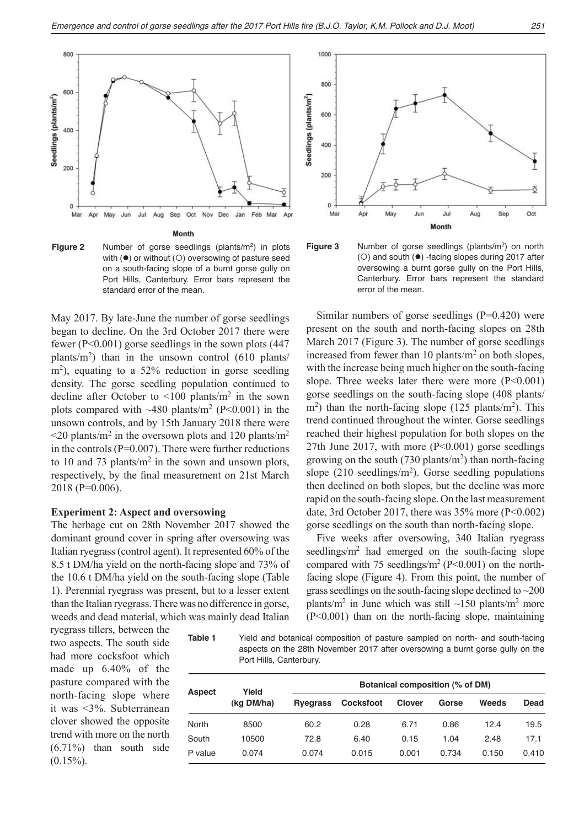



May 2017. By late-June the number of gorse seedlings began to decline. On the 3rd October 2017 there were pr fewer (P<0.001) gorse seedlings in the sown plots  $(447 \text{ M2})$ plants/m<sup>2</sup>) than in the unsown control  $(610 \text{ plants/m}^2)$ m<sup>2</sup>), equating to a 52% reduction in gorse seedling density. The gorse seedling population continued to decline after October to  $\leq 100$  plants/m<sup>2</sup> in the sown plots compared with  $\sim$ 480 plants/m<sup>2</sup> (P<0.001) in the unsown controls, and by 15th January 2018 there were  $\leq$ 20 plants/m<sup>2</sup> in the oversown plots and 120 plants/m<sup>2</sup> in the controls  $(P=0.007)$ . There were further reductions to 10 and 73 plants/ $m<sup>2</sup>$  in the sown and unsown plots, respectively, by the final measurement on 21st March 2018 (P=0.006).

#### **Experiment 2: Aspect and oversowing**

The herbage cut on 28th November 2017 showed the dominant ground cover in spring after oversowing was Italian ryegrass (control agent). It represented 60% of the 8.5 t DM/ha yield on the north-facing slope and 73% of the 10.6 t DM/ha yield on the south-facing slope (Table 1). Perennial ryegrass was present, but to a lesser extent than the Italian ryegrass. There was no difference in gorse, weeds and dead material, which was mainly dead Italian

ryegrass tillers, between the two aspects. The south side had more cocksfoot which made up 6.40% of the pasture compared with the north-facing slope where it was <3%. Subterranean clover showed the opposite trend with more on the north (6.71%) than south side  $(0.15\%)$ .







Similar numbers of gorse seedlings ( $P=0.420$ ) were present on the south and north-facing slopes on 28th March 2017 (Figure 3). The number of gorse seedlings increased from fewer than 10 plants/ $m<sup>2</sup>$  on both slopes, with the increase being much higher on the south-facing slope. Three weeks later there were more  $(P<0.001)$ gorse seedlings on the south-facing slope (408 plants/  $\rm m^2$ ) than the north-facing slope (125 plants/m<sup>2</sup>). This trend continued throughout the winter. Gorse seedlings reached their highest population for both slopes on the 27th June 2017, with more (P<0.001) gorse seedlings growing on the south  $(730 \text{ plants/m}^2)$  than north-facing slope  $(210 \text{ seedlings/m}^2)$ . Gorse seedling populations then declined on both slopes, but the decline was more rapid on the south-facing slope. On the last measurement date, 3rd October 2017, there was  $35\%$  more (P<0.002) gorse seedlings on the south than north-facing slope.

Five weeks after oversowing, 340 Italian ryegrass seedlings/m2 had emerged on the south-facing slope compared with 75 seedlings/m<sup>2</sup> (P<0.001) on the northfacing slope (Figure 4). From this point, the number of grass seedlings on the south-facing slope declined to ~200 plants/m<sup>2</sup> in June which was still  $\sim$ 150 plants/m<sup>2</sup> more (P<0.001) than on the north-facing slope, maintaining

**Table 1** Yield and botanical composition of pasture sampled on north- and south-facing aspects on the 28th November 2017 after oversowing a burnt gorse gully on the Port Hills, Canterbury.

| Aspect  | Yield<br>(kg DM/ha) | Botanical composition (% of DM) |           |               |       |       |       |
|---------|---------------------|---------------------------------|-----------|---------------|-------|-------|-------|
|         |                     | <b>Rvegrass</b>                 | Cocksfoot | <b>Clover</b> | Gorse | Weeds | Dead  |
| North   | 8500                | 60.2                            | 0.28      | 6.71          | 0.86  | 124   | 19.5  |
| South   | 10500               | 72.8                            | 6.40      | 0.15          | 1.04  | 2.48  | 17.1  |
| P value | 0.074               | 0.074                           | 0.015     | 0.001         | 0.734 | 0.150 | 0.410 |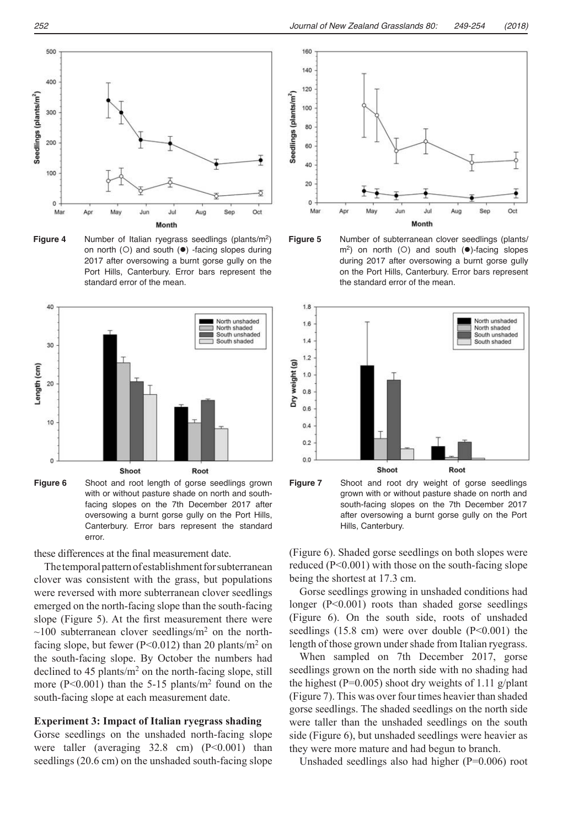

Figure 4 Number of Italian ryegrass seedlings (plants/m<sup>2</sup>) F on north (O) and south  $(\bullet)$  -facing slopes during 2017 after oversowing a burnt gorse gully on the Port Hills, Canterbury. Error bars represent the standard error of the mean.



**Figure 6** Shoot and root length of gorse seedlings grown **F** with or without pasture shade on north and southfacing slopes on the 7th December 2017 after Canterbury. Error bars represent the standard  $s_{\text{max}}$  show dry weights of 1.11 g/plant (Figure 7). This was over  $\mathcal{L}$  $f(x)$  times shaded goes seedlings. The shaded seedlings on the north side were not the north side were not the north side were  $f(x)$ oversowing a burnt gorse gully on the Port Hills, error.

these differences at the final measurement date. (F

The temporal pattern of establishment for subterranean reduced seedlings that clover was consistent with the grass, but populations were reversed with more subterranean clover seedlings emerged on the north-facing slope than the south-facing slope (Figure 5). At the first measurement there were  $\sim$ 100 subterranean clover seedlings/m<sup>2</sup> on the northfacing slope, but fewer ( $P \le 0.012$ ) than 20 plants/m<sup>2</sup> on the south-facing slope. By October the numbers had declined to 45 plants/m<sup>2</sup> on the north-facing slope, still more ( $P<0.001$ ) than the 5-15 plants/ $m<sup>2</sup>$  found on the south-facing slope at each measurement date.

## **Experiment 3: Impact of Italian ryegrass shading**

Gorse seedlings on the unshaded north-facing slope were taller (averaging 32.8 cm) (P<0.001) than seedlings (20.6 cm) on the unshaded south-facing slope









(Figure 6). Shaded gorse seedlings on both slopes were reduced (P<0.001) with those on the south-facing slope being the shortest at  $17.3 \text{ cm}$ .

Gorse seedlings growing in unshaded conditions had longer ( $P < 0.001$ ) roots than shaded gorse seedlings (Figure 6). On the south side, roots of unshaded seedlings  $(15.8 \text{ cm})$  were over double  $(P<0.001)$  the length of those grown under shade from Italian ryegrass.

When sampled on 7th December 2017, gorse seedlings grown on the north side with no shading had the highest (P=0.005) shoot dry weights of 1.11 g/plant (Figure 7). This was over four times heavier than shaded gorse seedlings. The shaded seedlings on the north side were taller than the unshaded seedlings on the south side (Figure 6), but unshaded seedlings were heavier as they were more mature and had begun to branch.

Unshaded seedlings also had higher (P=0.006) root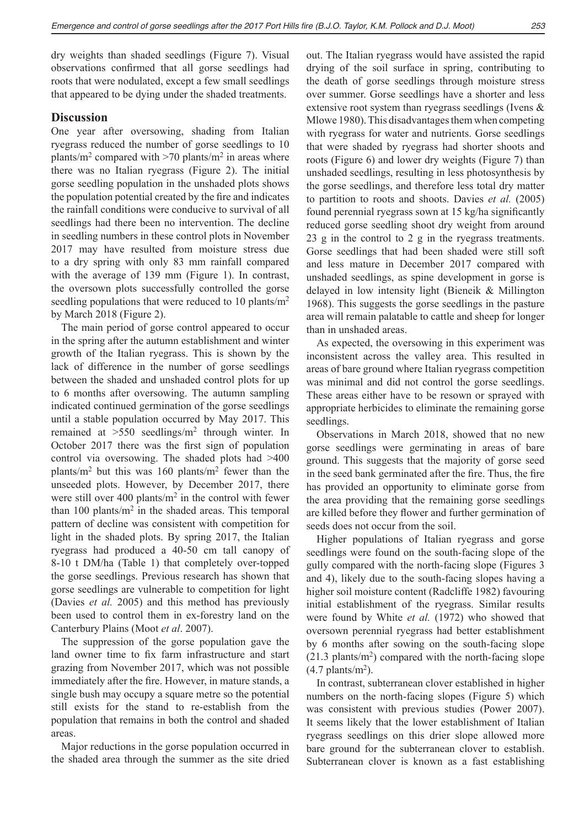dry weights than shaded seedlings (Figure 7). Visual observations confirmed that all gorse seedlings had roots that were nodulated, except a few small seedlings that appeared to be dying under the shaded treatments.

## **Discussion**

One year after oversowing, shading from Italian ryegrass reduced the number of gorse seedlings to 10 plants/m<sup>2</sup> compared with  $>70$  plants/m<sup>2</sup> in areas where there was no Italian ryegrass (Figure 2). The initial gorse seedling population in the unshaded plots shows the population potential created by the fire and indicates the rainfall conditions were conducive to survival of all seedlings had there been no intervention. The decline in seedling numbers in these control plots in November 2017 may have resulted from moisture stress due to a dry spring with only 83 mm rainfall compared with the average of 139 mm (Figure 1). In contrast, the oversown plots successfully controlled the gorse seedling populations that were reduced to 10 plants/m<sup>2</sup> by March 2018 (Figure 2).

The main period of gorse control appeared to occur in the spring after the autumn establishment and winter growth of the Italian ryegrass. This is shown by the lack of difference in the number of gorse seedlings between the shaded and unshaded control plots for up to 6 months after oversowing. The autumn sampling indicated continued germination of the gorse seedlings until a stable population occurred by May 2017. This remained at >550 seedlings/m2 through winter. In October 2017 there was the first sign of population control via oversowing. The shaded plots had >400 plants/m<sup>2</sup> but this was 160 plants/m<sup>2</sup> fewer than the unseeded plots. However, by December 2017, there were still over  $400$  plants/ $m<sup>2</sup>$  in the control with fewer than 100 plants/ $m<sup>2</sup>$  in the shaded areas. This temporal pattern of decline was consistent with competition for light in the shaded plots. By spring 2017, the Italian ryegrass had produced a 40-50 cm tall canopy of 8-10 t DM/ha (Table 1) that completely over-topped the gorse seedlings. Previous research has shown that gorse seedlings are vulnerable to competition for light (Davies *et al.* 2005) and this method has previously been used to control them in ex-forestry land on the Canterbury Plains (Moot *et al*. 2007).

The suppression of the gorse population gave the land owner time to fix farm infrastructure and start grazing from November 2017, which was not possible immediately after the fire. However, in mature stands, a single bush may occupy a square metre so the potential still exists for the stand to re-establish from the population that remains in both the control and shaded areas.

Major reductions in the gorse population occurred in the shaded area through the summer as the site dried

out. The Italian ryegrass would have assisted the rapid drying of the soil surface in spring, contributing to the death of gorse seedlings through moisture stress over summer. Gorse seedlings have a shorter and less extensive root system than ryegrass seedlings (Ivens & Mlowe 1980). This disadvantages them when competing with ryegrass for water and nutrients. Gorse seedlings that were shaded by ryegrass had shorter shoots and roots (Figure 6) and lower dry weights (Figure 7) than unshaded seedlings, resulting in less photosynthesis by the gorse seedlings, and therefore less total dry matter to partition to roots and shoots. Davies *et al.* (2005) found perennial ryegrass sown at 15 kg/ha significantly reduced gorse seedling shoot dry weight from around 23 g in the control to 2 g in the ryegrass treatments. Gorse seedlings that had been shaded were still soft and less mature in December 2017 compared with unshaded seedlings, as spine development in gorse is delayed in low intensity light (Bieneik & Millington 1968). This suggests the gorse seedlings in the pasture area will remain palatable to cattle and sheep for longer than in unshaded areas.

As expected, the oversowing in this experiment was inconsistent across the valley area. This resulted in areas of bare ground where Italian ryegrass competition was minimal and did not control the gorse seedlings. These areas either have to be resown or sprayed with appropriate herbicides to eliminate the remaining gorse seedlings.

Observations in March 2018, showed that no new gorse seedlings were germinating in areas of bare ground. This suggests that the majority of gorse seed in the seed bank germinated after the fire. Thus, the fire has provided an opportunity to eliminate gorse from the area providing that the remaining gorse seedlings are killed before they flower and further germination of seeds does not occur from the soil.

Higher populations of Italian ryegrass and gorse seedlings were found on the south-facing slope of the gully compared with the north-facing slope (Figures 3 and 4), likely due to the south-facing slopes having a higher soil moisture content (Radcliffe 1982) favouring initial establishment of the ryegrass. Similar results were found by White *et al.* (1972) who showed that oversown perennial ryegrass had better establishment by 6 months after sowing on the south-facing slope  $(21.3 \text{ plants/m}^2)$  compared with the north-facing slope  $(4.7 \text{ plants/m}^2)$ .

In contrast, subterranean clover established in higher numbers on the north-facing slopes (Figure 5) which was consistent with previous studies (Power 2007). It seems likely that the lower establishment of Italian ryegrass seedlings on this drier slope allowed more bare ground for the subterranean clover to establish. Subterranean clover is known as a fast establishing